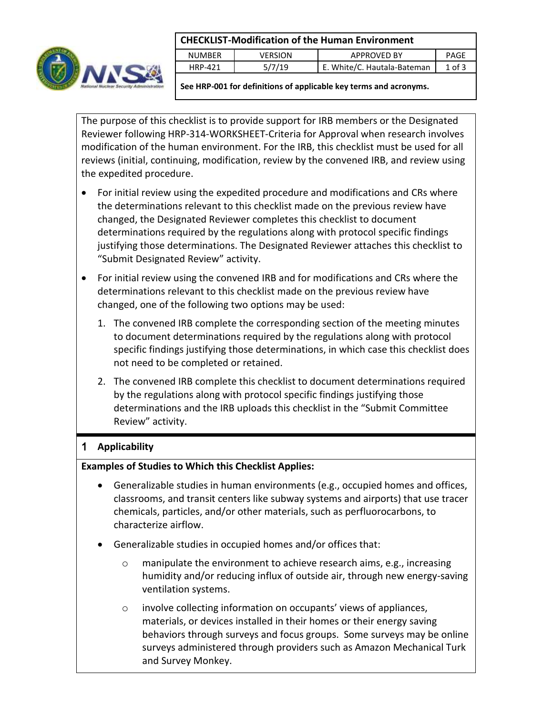### **CHECKLIST-Modification of the Human Environment**



|                | CHLCKLIST-MOUNTCANON OF THE HUMAN LINITONIUCHT |                             |            |
|----------------|------------------------------------------------|-----------------------------|------------|
| NUMBER         | VERSION                                        | APPROVED BY                 | PAGE       |
| <b>HRP-421</b> | 5/7/19                                         | E. White/C. Hautala-Bateman | $1$ of $3$ |
|                |                                                |                             |            |

**See HRP-001 for definitions of applicable key terms and acronyms.**

The purpose of this checklist is to provide support for IRB members or the Designated Reviewer following HRP-314-WORKSHEET-Criteria for Approval when research involves modification of the human environment. For the IRB, this checklist must be used for all reviews (initial, continuing, modification, review by the convened IRB, and review using the expedited procedure.

- For initial review using the expedited procedure and modifications and CRs where the determinations relevant to this checklist made on the previous review have changed, the Designated Reviewer completes this checklist to document determinations required by the regulations along with protocol specific findings justifying those determinations. The Designated Reviewer attaches this checklist to "Submit Designated Review" activity.
- For initial review using the convened IRB and for modifications and CRs where the determinations relevant to this checklist made on the previous review have changed, one of the following two options may be used:
	- 1. The convened IRB complete the corresponding section of the meeting minutes to document determinations required by the regulations along with protocol specific findings justifying those determinations, in which case this checklist does not need to be completed or retained.
	- 2. The convened IRB complete this checklist to document determinations required by the regulations along with protocol specific findings justifying those determinations and the IRB uploads this checklist in the "Submit Committee Review" activity.

# 1 **Applicability**

## **Examples of Studies to Which this Checklist Applies:**

- Generalizable studies in human environments (e.g., occupied homes and offices, classrooms, and transit centers like subway systems and airports) that use tracer chemicals, particles, and/or other materials, such as perfluorocarbons, to characterize airflow.
- Generalizable studies in occupied homes and/or offices that:
	- $\circ$  manipulate the environment to achieve research aims, e.g., increasing humidity and/or reducing influx of outside air, through new energy-saving ventilation systems.
	- o involve collecting information on occupants' views of appliances, materials, or devices installed in their homes or their energy saving behaviors through surveys and focus groups. Some surveys may be online surveys administered through providers such as Amazon Mechanical Turk and Survey Monkey.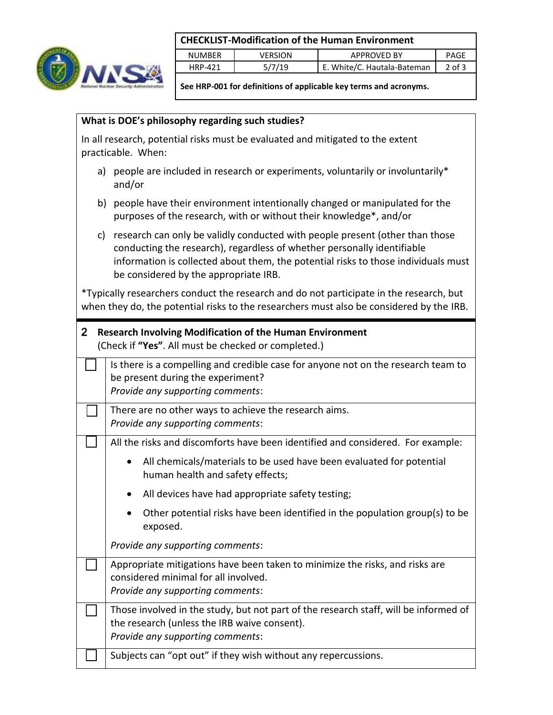### **CHECKLIST-Modification of the Human Environment**



|               |         | CHECKERT INDUMINUMENT OF GIC HUMINGH ENVIRONMENT |        |
|---------------|---------|--------------------------------------------------|--------|
| <b>NUMBER</b> | VERSION | <b>APPROVED BY</b>                               | PAGE   |
| HRP-421       | 5/7/19  | E. White/C. Hautala-Bateman                      | 2 of 3 |
|               |         |                                                  |        |

**See HRP-001 for definitions of applicable key terms and acronyms.**

### **What is DOE's philosophy regarding such studies?**

In all research, potential risks must be evaluated and mitigated to the extent practicable. When:

- a) people are included in research or experiments, voluntarily or involuntarily\* and/or
- b) people have their environment intentionally changed or manipulated for the purposes of the research, with or without their knowledge\*, and/or
- c) research can only be validly conducted with people present (other than those conducting the research), regardless of whether personally identifiable information is collected about them, the potential risks to those individuals must be considered by the appropriate IRB.

\*Typically researchers conduct the research and do not participate in the research, but when they do, the potential risks to the researchers must also be considered by the IRB.

| 2 Research Involving Modification of the Human Environment |  |
|------------------------------------------------------------|--|
| (Check if "Yes". All must be checked or completed.)        |  |

| Is there is a compelling and credible case for anyone not on the research team to<br>be present during the experiment?<br>Provide any supporting comments:                                                                                                                                                                                              |  |
|---------------------------------------------------------------------------------------------------------------------------------------------------------------------------------------------------------------------------------------------------------------------------------------------------------------------------------------------------------|--|
| There are no other ways to achieve the research aims.<br>Provide any supporting comments:                                                                                                                                                                                                                                                               |  |
| All the risks and discomforts have been identified and considered. For example:<br>All chemicals/materials to be used have been evaluated for potential<br>human health and safety effects;<br>All devices have had appropriate safety testing;<br>$\bullet$<br>Other potential risks have been identified in the population group(s) to be<br>exposed. |  |
| Provide any supporting comments:                                                                                                                                                                                                                                                                                                                        |  |
| Appropriate mitigations have been taken to minimize the risks, and risks are<br>considered minimal for all involved.<br>Provide any supporting comments:                                                                                                                                                                                                |  |
| Those involved in the study, but not part of the research staff, will be informed of<br>the research (unless the IRB waive consent).<br>Provide any supporting comments:                                                                                                                                                                                |  |
| Subjects can "opt out" if they wish without any repercussions.                                                                                                                                                                                                                                                                                          |  |